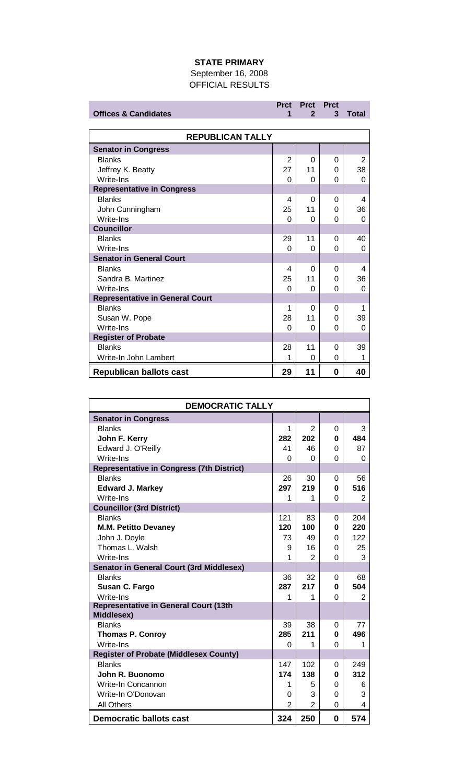## **STATE PRIMARY**

September 16, 2008 OFFICIAL RESULTS

|                                        | <b>Prct</b> | <b>Prct Prct</b> |   |              |
|----------------------------------------|-------------|------------------|---|--------------|
| <b>Offices &amp; Candidates</b>        | 1           | $\mathbf{2}$     | 3 | <b>Total</b> |
|                                        |             |                  |   |              |
| <b>REPUBLICAN TALLY</b>                |             |                  |   |              |
| <b>Senator in Congress</b>             |             |                  |   |              |
| <b>Blanks</b>                          | 2           | 0                | 0 | 2            |
| Jeffrey K. Beatty                      | 27          | 11               | 0 | 38           |
| Write-Ins                              | 0           | 0                | 0 | 0            |
| <b>Representative in Congress</b>      |             |                  |   |              |
| <b>Blanks</b>                          | 4           | $\Omega$         | 0 | 4            |
| John Cunningham                        | 25          | 11               | 0 | 36           |
| Write-Ins                              | 0           | 0                | 0 | 0            |
| <b>Councillor</b>                      |             |                  |   |              |
| <b>Blanks</b>                          | 29          | 11               | 0 | 40           |
| Write-Ins                              | 0           | 0                | 0 | 0            |
| <b>Senator in General Court</b>        |             |                  |   |              |
| <b>Blanks</b>                          | 4           | $\Omega$         | 0 | 4            |
| Sandra B. Martinez                     | 25          | 11               | 0 | 36           |
| Write-Ins                              | $\Omega$    | $\Omega$         | 0 | 0            |
| <b>Representative in General Court</b> |             |                  |   |              |
| <b>Blanks</b>                          | 1           | 0                | 0 | 1            |
| Susan W. Pope                          | 28          | 11               | 0 | 39           |
| Write-Ins                              | $\Omega$    | 0                | 0 | 0            |
| <b>Register of Probate</b>             |             |                  |   |              |
| <b>Blanks</b>                          | 28          | 11               | 0 | 39           |
| Write-In John Lambert                  | 1           | 0                | 0 | 1            |

**Republican ballots cast 29 11 0 40**

| <b>DEMOCRATIC TALLY</b>                                    |                |                |          |     |
|------------------------------------------------------------|----------------|----------------|----------|-----|
| <b>Senator in Congress</b>                                 |                |                |          |     |
| <b>Blanks</b>                                              | 1              | 2              | 0        | 3   |
| John F. Kerry                                              | 282            | 202            | 0        | 484 |
| Edward J. O'Reilly                                         | 41             | 46             | $\Omega$ | 87  |
| Write-Ins                                                  | 0              | 0              | 0        | 0   |
| <b>Representative in Congress (7th District)</b>           |                |                |          |     |
| <b>Blanks</b>                                              | 26             | 30             | 0        | 56  |
| <b>Edward J. Markey</b>                                    | 297            | 219            | 0        | 516 |
| Write-Ins                                                  | 1              | 1              | 0        | 2   |
| <b>Councillor (3rd District)</b>                           |                |                |          |     |
| <b>Blanks</b>                                              | 121            | 83             | 0        | 204 |
| <b>M.M. Petitto Devaney</b>                                | 120            | 100            | 0        | 220 |
| John J. Doyle                                              | 73             | 49             | 0        | 122 |
| Thomas L. Walsh                                            | 9              | 16             | 0        | 25  |
| Write-Ins                                                  | 1              | 2              | $\Omega$ | 3   |
| <b>Senator in General Court (3rd Middlesex)</b>            |                |                |          |     |
| <b>Blanks</b>                                              | 36             | 32             | 0        | 68  |
| Susan C. Fargo                                             | 287            | 217            | 0        | 504 |
| Write-Ins                                                  | 1              | 1              | 0        | 2   |
| <b>Representative in General Court (13th</b><br>Middlesex) |                |                |          |     |
| <b>Blanks</b>                                              | 39             | 38             | 0        | 77  |
| <b>Thomas P. Conroy</b>                                    | 285            | 211            | 0        | 496 |
| Write-Ins                                                  | 0              | 1              | 0        | 1   |
| <b>Register of Probate (Middlesex County)</b>              |                |                |          |     |
| <b>Blanks</b>                                              | 147            | 102            | 0        | 249 |
| John R. Buonomo                                            | 174            | 138            | 0        | 312 |
| Write-In Concannon                                         | 1              | 5              | 0        | 6   |
| Write-In O'Donovan                                         | 0              | 3              | $\Omega$ | 3   |
| <b>All Others</b>                                          | $\overline{2}$ | $\overline{2}$ | $\Omega$ | 4   |
| <b>Democratic ballots cast</b>                             | 324            | 250            | 0        | 574 |